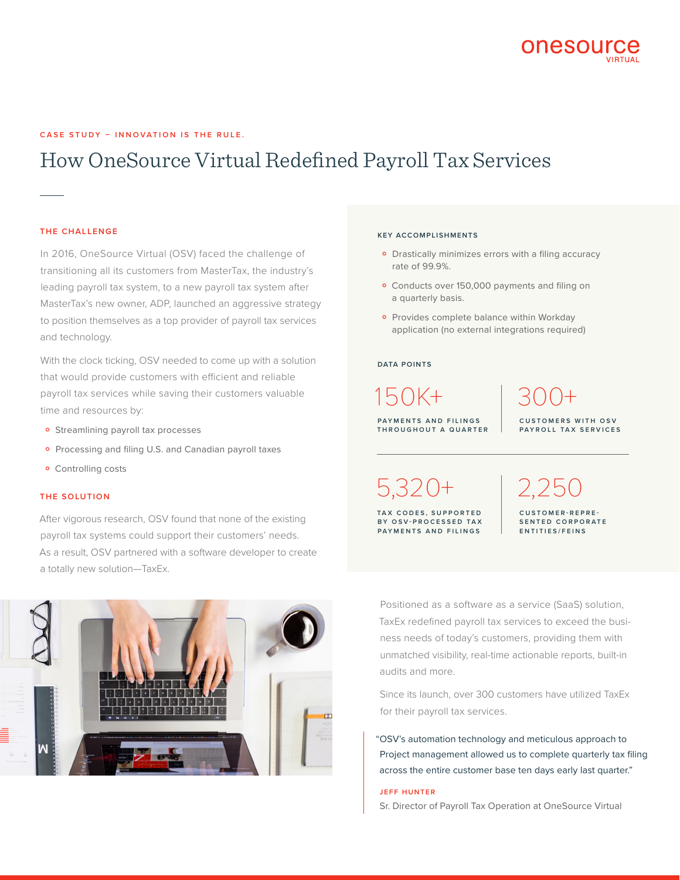

### **CASE STUDY – INNOVATION IS THE RULE.**

# How OneSource Virtual Redefined Payroll Tax Services

### **THE CHALLENGE**

In 2016, OneSource Virtual (OSV) faced the challenge of transitioning all its customers from MasterTax, the industry's leading payroll tax system, to a new payroll tax system after MasterTax's new owner, ADP, launched an aggressive strategy to position themselves as a top provider of payroll tax services and technology.

With the clock ticking, OSV needed to come up with a solution that would provide customers with efficient and reliable payroll tax services while saving their customers valuable time and resources by:

- **•** Streamlining payroll tax processes
- o Processing and filing U.S. and Canadian payroll taxes
- **•** Controlling costs

#### **THE SOLUTION**

After vigorous research, OSV found that none of the existing payroll tax systems could support their customers' needs. As a result, OSV partnered with a software developer to create a totally new solution—TaxEx.



#### **KEY ACCOMPLISHMENTS**

- **•** Drastically minimizes errors with a filing accuracy rate of 99.9%.
- o Conducts over 150,000 payments and filing on a quarterly basis.
- ˚ Provides complete balance within Workday application (no external integrations required)

#### **DATA POINTS**

**PAYMENTS AND FILINGS THROUGHOUT A QUARTER** 150K+

300+ **C U S T O M E R S W I T H O S V PAYROLL TAX SERVICES**

5,320+

**T A X C O D E S , S U P P O R T E D BY OSV-PROCESSED TAX PAYMENTS AND FILINGS**

2,250 **CUSTOMER-REPRE - S E N T E D C O R P O R A T E ENTITIES/FEINS**

Positioned as a software as a service (SaaS) solution, TaxEx redefined payroll tax services to exceed the business needs of today's customers, providing them with unmatched visibility, real-time actionable reports, built-in audits and more.

Since its launch, over 300 customers have utilized TaxEx for their payroll tax services.

"OSV's automation technology and meticulous approach to Project management allowed us to complete quarterly tax filing across the entire customer base ten days early last quarter."

#### **JEFF HUNTER**

Sr. Director of Payroll Tax Operation at OneSource Virtual